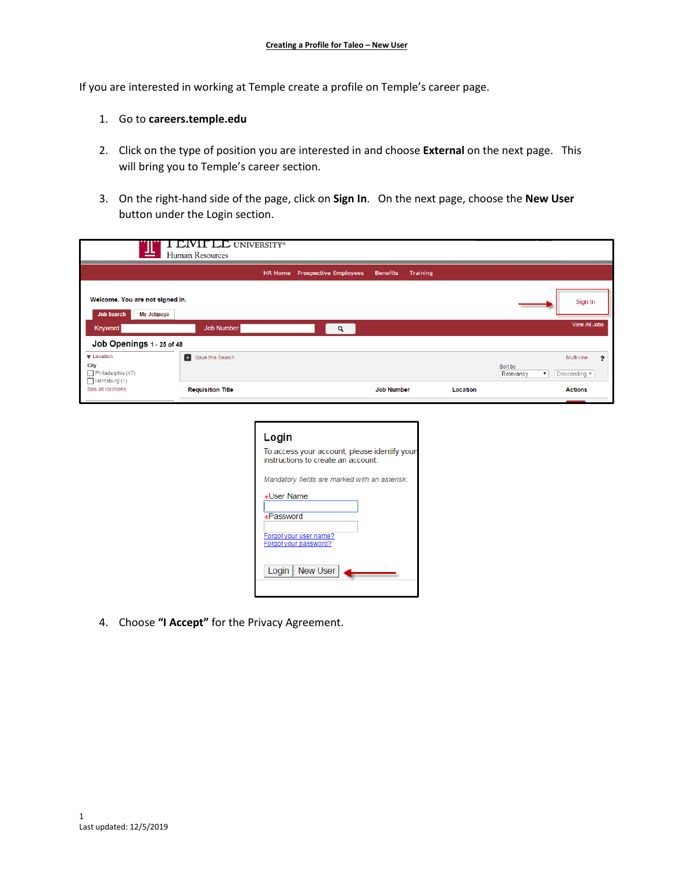If you are interested in working at Temple create a profile on Temple's career page.

## 1. Go to **careers.temple.edu**

- 2. Click on the type of position you are interested in and choose **External** on the next page. This will bring you to Temple's career section.
- 3. On the right-hand side of the page, click on **Sign In**. On the next page, choose the **New User** button under the Login section.

| ≝                                                                       | <b>CIVIT LE UNIVERSITY®</b><br>Human Resources |                |                              |                   |                 |                      |                                     |
|-------------------------------------------------------------------------|------------------------------------------------|----------------|------------------------------|-------------------|-----------------|----------------------|-------------------------------------|
|                                                                         |                                                | <b>HR Home</b> | <b>Prospective Employees</b> | <b>Benefits</b>   | <b>Training</b> |                      |                                     |
| Welcome. You are not signed in.<br><b>Job Search</b><br>My Jobpage      |                                                |                |                              |                   |                 |                      | Sign In                             |
| Keyword                                                                 | Job Number                                     |                | Q                            |                   |                 |                      | <b>View All Jobs</b>                |
| Job Openings 1 - 25 of 48                                               |                                                |                |                              |                   |                 |                      |                                     |
| <b>V</b> Location<br>City<br>$\Box$ Philadelphia (47)<br>Harrisburg (1) | <b>B</b> Save this Search                      |                |                              |                   |                 | Sort by<br>Relevancy | Multi-line<br>๑<br>Descending<br>▼. |
| See all locations                                                       | <b>Requisition Title</b>                       |                |                              | <b>Job Number</b> |                 | Location             | <b>Actions</b>                      |

| Login                                                                               |
|-------------------------------------------------------------------------------------|
| To access your account, please identify yours<br>instructions to create an account. |
| Mandatory fields are marked with an asterisk.                                       |
| <b>*User Name</b>                                                                   |
| <b>*Password</b>                                                                    |
| Forgot your user name?<br>Forgot your password?                                     |
| Login   New User                                                                    |
|                                                                                     |

4. Choose **"I Accept"** for the Privacy Agreement.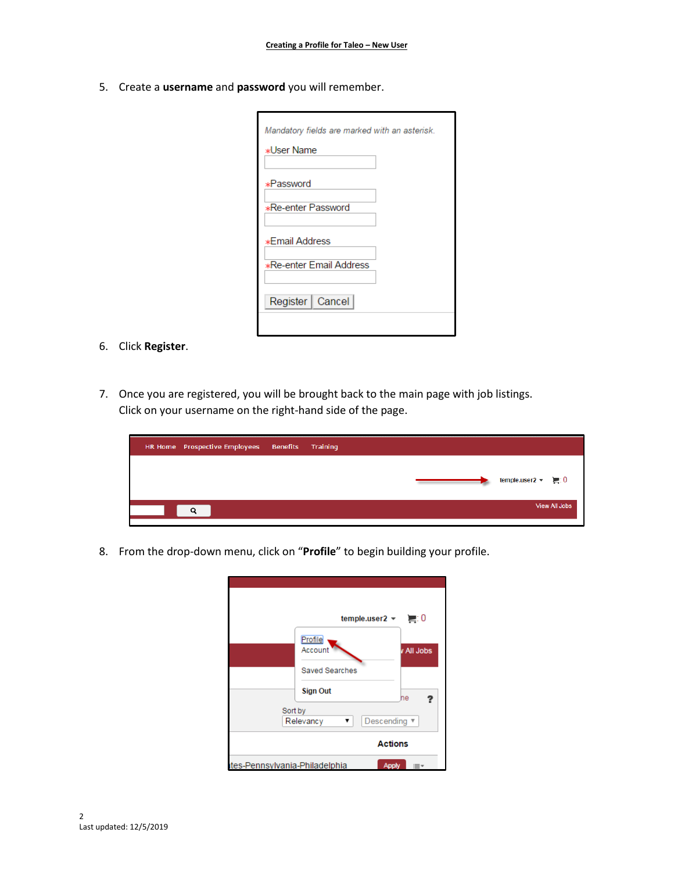5. Create a **username** and **password** you will remember.

| Mandatory fields are marked with an asterisk.<br><b>*User Name</b> |
|--------------------------------------------------------------------|
| <b>*Password</b>                                                   |
| <b>*Re-enter Password</b>                                          |
| <b>*Email Address</b>                                              |
| <b>*Re-enter Email Address</b>                                     |
| Register   Cancel                                                  |
|                                                                    |

- 6. Click **Register**.
- 7. Once you are registered, you will be brought back to the main page with job listings. Click on your username on the right-hand side of the page.



8. From the drop-down menu, click on "**Profile**" to begin building your profile.

|                               |                       | temple.user2 $\blacktriangledown$ = 0 |
|-------------------------------|-----------------------|---------------------------------------|
|                               | Profile<br>Account    | v All Jobs                            |
|                               | <b>Saved Searches</b> |                                       |
|                               | <b>Sign Out</b>       | he                                    |
| Sort by                       | Relevancy<br>▼        | Descending ▼                          |
|                               |                       | <b>Actions</b>                        |
| tes-Pennsylvania-Philadelphia |                       | <b>Apply</b>                          |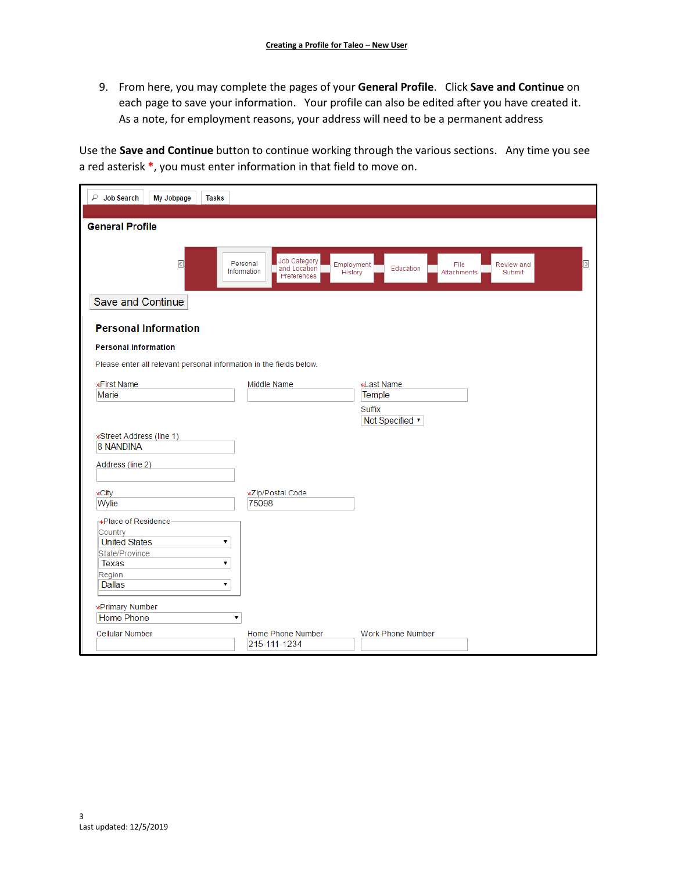9. From here, you may complete the pages of your **General Profile**. Click **Save and Continue** on each page to save your information. Your profile can also be edited after you have created it. As a note, for employment reasons, your address will need to be a permanent address

Use the **Save and Continue** button to continue working through the various sections. Any time you see a red asterisk **\***, you must enter information in that field to move on.

| ₽<br><b>Job Search</b><br>My Jobpage<br><b>Tasks</b>                |                                                                        |                                                           |                      |                  |
|---------------------------------------------------------------------|------------------------------------------------------------------------|-----------------------------------------------------------|----------------------|------------------|
| <b>General Profile</b>                                              |                                                                        |                                                           |                      |                  |
|                                                                     |                                                                        |                                                           |                      |                  |
| $\langle$                                                           | Job Category<br>Personal<br>and Location<br>Information<br>Preferences | Employment<br>File<br>Education<br>History<br>Attachments | Review and<br>Submit | $\triangleright$ |
| Save and Continue                                                   |                                                                        |                                                           |                      |                  |
| <b>Personal Information</b>                                         |                                                                        |                                                           |                      |                  |
| <b>Personal Information</b>                                         |                                                                        |                                                           |                      |                  |
| Please enter all relevant personal information in the fields below. |                                                                        |                                                           |                      |                  |
| <b>*First Name</b>                                                  | Middle Name                                                            | <b>*Last Name</b>                                         |                      |                  |
| Marie                                                               |                                                                        | Temple                                                    |                      |                  |
|                                                                     |                                                                        | Suffix                                                    |                      |                  |
|                                                                     |                                                                        | Not Specified v                                           |                      |                  |
| *Street Address (line 1)                                            |                                                                        |                                                           |                      |                  |
| 8 NANDINA                                                           |                                                                        |                                                           |                      |                  |
| Address (line 2)                                                    |                                                                        |                                                           |                      |                  |
| <b>*City</b>                                                        | *Zip/Postal Code                                                       |                                                           |                      |                  |
| Wylie                                                               | 75098                                                                  |                                                           |                      |                  |
| r*Place of Residence                                                |                                                                        |                                                           |                      |                  |
| Country                                                             |                                                                        |                                                           |                      |                  |
| <b>United States</b>                                                | 7                                                                      |                                                           |                      |                  |
| State/Province                                                      |                                                                        |                                                           |                      |                  |
| Texas                                                               | ۰.                                                                     |                                                           |                      |                  |
| Region                                                              |                                                                        |                                                           |                      |                  |
| Dallas                                                              | ۷.                                                                     |                                                           |                      |                  |
| <b>*Primary Number</b>                                              |                                                                        |                                                           |                      |                  |
| Home Phone                                                          | 7                                                                      |                                                           |                      |                  |
| <b>Cellular Number</b>                                              | Home Phone Number<br>215-111-1234                                      | <b>Work Phone Number</b>                                  |                      |                  |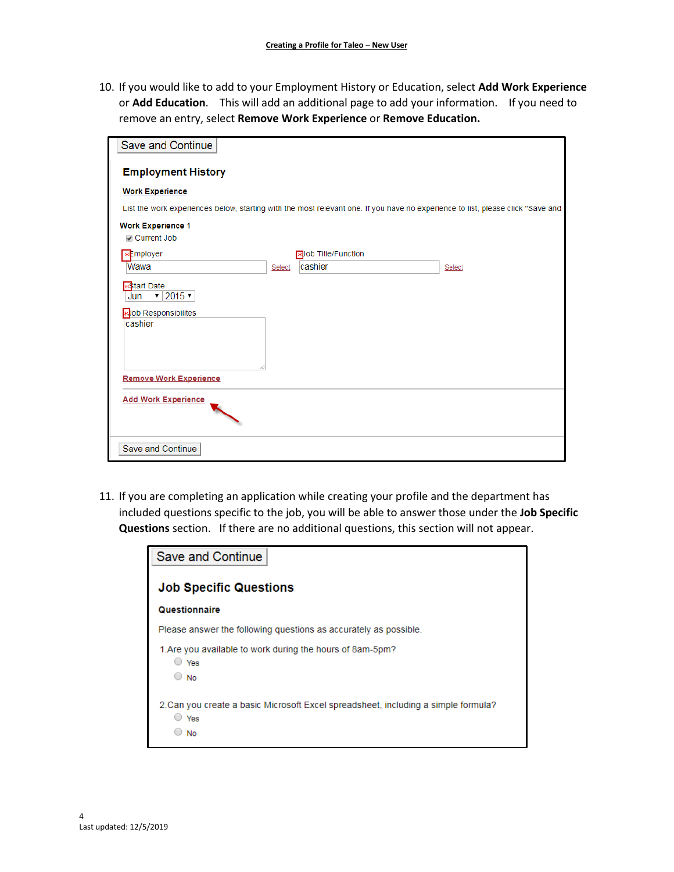10. If you would like to add to your Employment History or Education, select **Add Work Experience**  or **Add Education**. This will add an additional page to add your information. If you need to remove an entry, select **Remove Work Experience** or **Remove Education.**

| Save and Continue                          |        |                                                                                                                                 |        |
|--------------------------------------------|--------|---------------------------------------------------------------------------------------------------------------------------------|--------|
| <b>Employment History</b>                  |        |                                                                                                                                 |        |
| <b>Work Experience</b>                     |        |                                                                                                                                 |        |
|                                            |        | List the work experiences below, starting with the most relevant one. If you have no experience to list, please click "Save and |        |
| <b>Work Experience 1</b><br>Current Job    |        |                                                                                                                                 |        |
| <b>xEmployer</b>                           |        | <b>x</b> Job Title/Function                                                                                                     |        |
| Wawa                                       | Select | cashier                                                                                                                         | Select |
| *Start Date<br>$\cdot$ 2015 $\cdot$<br>Jun |        |                                                                                                                                 |        |
| <b>x</b> Job Responsibilites               |        |                                                                                                                                 |        |
| cashier                                    |        |                                                                                                                                 |        |
|                                            |        |                                                                                                                                 |        |
|                                            |        |                                                                                                                                 |        |
| <b>Remove Work Experience</b>              |        |                                                                                                                                 |        |
| <b>Add Work Experience</b>                 |        |                                                                                                                                 |        |
|                                            |        |                                                                                                                                 |        |
| Save and Continue                          |        |                                                                                                                                 |        |

11. If you are completing an application while creating your profile and the department has included questions specific to the job, you will be able to answer those under the **Job Specific Questions** section. If there are no additional questions, this section will not appear.

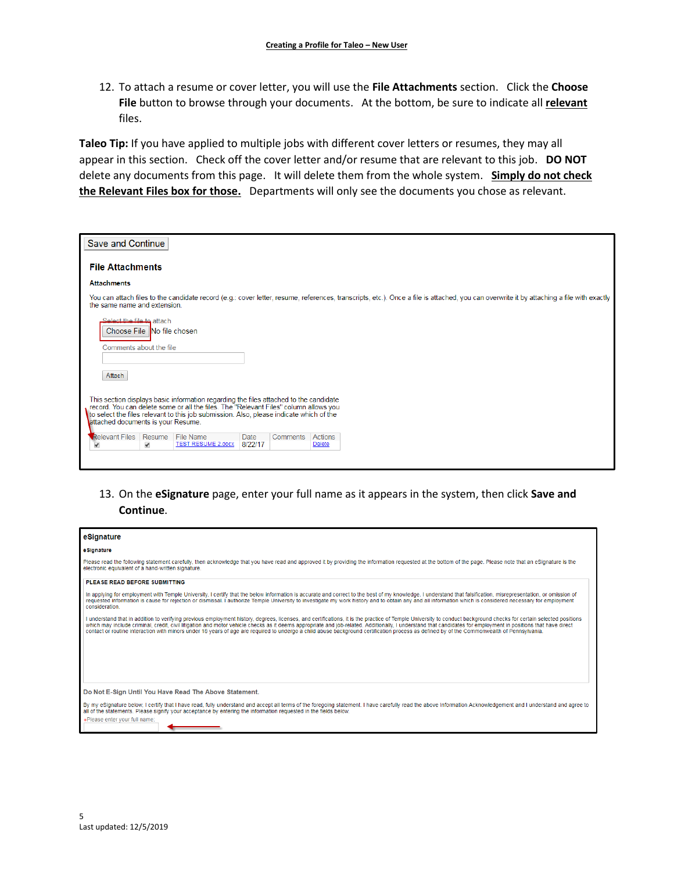12. To attach a resume or cover letter, you will use the **File Attachments** section. Click the **Choose File** button to browse through your documents. At the bottom, be sure to indicate all **relevant** files.

**Taleo Tip:** If you have applied to multiple jobs with different cover letters or resumes, they may all appear in this section. Check off the cover letter and/or resume that are relevant to this job. **DO NOT** delete any documents from this page. It will delete them from the whole system. **Simply do not check the Relevant Files box for those.** Departments will only see the documents you chose as relevant.

| Save and Continue                                                                                                                                                                                                                                                                                              |
|----------------------------------------------------------------------------------------------------------------------------------------------------------------------------------------------------------------------------------------------------------------------------------------------------------------|
| <b>File Attachments</b>                                                                                                                                                                                                                                                                                        |
| <b>Attachments</b>                                                                                                                                                                                                                                                                                             |
| You can attach files to the candidate record (e.g.: cover letter, resume, references, transcripts, etc.). Once a file is attached, you can overwrite it by attaching a file with exactly<br>the same name and extension.                                                                                       |
| Select the file to attach<br>Choose File No file chosen<br>Comments about the file                                                                                                                                                                                                                             |
| Attach                                                                                                                                                                                                                                                                                                         |
|                                                                                                                                                                                                                                                                                                                |
| This section displays basic information regarding the files attached to the candidate<br>record. You can delete some or all the files. The "Relevant Files" column allows you<br>to select the files relevant to this job submission. Also, please indicate which of the<br>attached documents is your Resume. |
| <b>Relevant Files</b><br>Resume<br>File Name<br>Date<br>Comments<br>Actions<br>8/22/17<br><b>TEST RESUME 2.docx</b><br><b>Delete</b><br>$\blacktriangledown$<br>$\blacktriangledown$                                                                                                                           |
|                                                                                                                                                                                                                                                                                                                |

13. On the **eSignature** page, enter your full name as it appears in the system, then click **Save and Continue**.

| eSignature                                                                                                                                                                                                                                                                                                                                                                                                                                                                                                                                                                                                                         |
|------------------------------------------------------------------------------------------------------------------------------------------------------------------------------------------------------------------------------------------------------------------------------------------------------------------------------------------------------------------------------------------------------------------------------------------------------------------------------------------------------------------------------------------------------------------------------------------------------------------------------------|
| eSignature                                                                                                                                                                                                                                                                                                                                                                                                                                                                                                                                                                                                                         |
| Please read the following statement carefully, then acknowledge that you have read and approved it by providing the information requested at the bottom of the page. Please note that an eSignature is the<br>electronic equivalent of a hand-written signature.                                                                                                                                                                                                                                                                                                                                                                   |
| PLEASE READ BEFORE SUBMITTING                                                                                                                                                                                                                                                                                                                                                                                                                                                                                                                                                                                                      |
| In applying for employment with Temple University, I certify that the below information is accurate and correct to the best of my knowledge. I understand that falsification, misrepresentation, or omission of<br>requested information is cause for rejection or dismissal. I authorize Temple University to investigate my work history and to obtain any and all information which is considered necessary for employment<br>consideration.                                                                                                                                                                                    |
| I understand that in addition to verifying previous employment history, degrees, licenses, and certifications, it is the practice of Temple University to conduct background checks for certain selected positions<br>which may include criminal, credit, civil litigation and motor vehicle checks as it deems appropriate and job-related. Additionally, I understand that candidates for employment in positions that have direct<br>contact or routine interaction with minors under 18 years of age are required to undergo a child abuse background certification process as defined by of the Commonwealth of Pennsylvania. |
| Do Not E-Sign Until You Have Read The Above Statement.                                                                                                                                                                                                                                                                                                                                                                                                                                                                                                                                                                             |
| By my eSignature below, I certify that I have read, fully understand and accept all terms of the foregoing statement. I have carefully read the above Information Acknowledgement and I understand and agree to<br>all of the statements. Please signify your acceptance by entering the information requested in the fields below.<br>*Please enter your full name:                                                                                                                                                                                                                                                               |
|                                                                                                                                                                                                                                                                                                                                                                                                                                                                                                                                                                                                                                    |